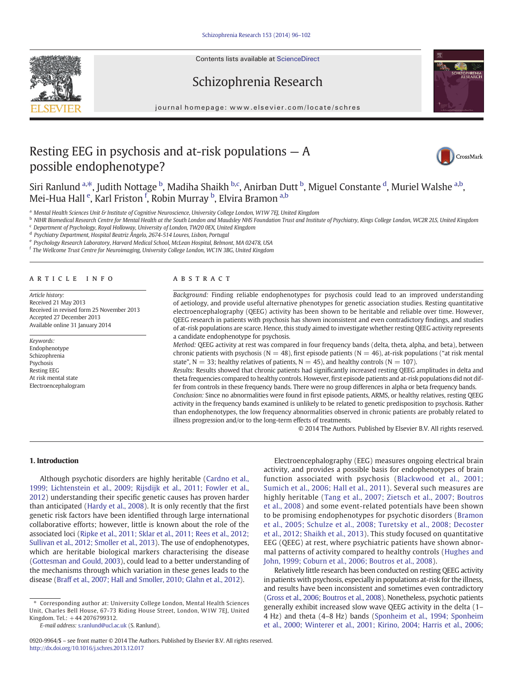Contents lists available at ScienceDirect







journal homepage: www.elsevier.com/locate/schres

# Resting EEG in psychosis and at-risk populations — A possible endophenotype?



Siri Ranlund <sup>a,\*</sup>, Judith Nottage <sup>b</sup>, Madiha Shaikh <sup>b,c</sup>, Anirban Dutt <sup>b</sup>, Miguel Constante <sup>d</sup>, Muriel Walshe <sup>a,b</sup>, Mei-Hua Hall <sup>e</sup>, Karl Friston <sup>f</sup>, Robin Murray <sup>b</sup>, Elvira Bramon <sup>a,b</sup>

a Mental Health Sciences Unit & Institute of Cognitive Neuroscience, University College London, W1W 7EJ, United Kingdom

**b** NIHR Biomedical Research Centre for Mental Health at the South London and Maudsley NHS Foundation Trust and Institute of Psychiatry, Kings College London, WC2R 2LS, United Kingdom

 $c$  Department of Psychology, Royal Holloway, University of London, TW20 0EX, United Kingdom

<sup>d</sup> Psychiatry Department, Hospital Beatriz Ângelo, 2674-514 Loures, Lisbon, Portugal

<sup>e</sup> Psychology Research Laboratory, Harvard Medical School, McLean Hospital, Belmont, MA 02478, USA

<sup>f</sup> The Wellcome Trust Centre for Neuroimaging, University College London, WC1N 3BG, United Kingdom

#### article info abstract

Article history: Received 21 May 2013 Received in revised form 25 November 2013 Accepted 27 December 2013 Available online 31 January 2014

Keywords: Endophenotype Schizophrenia Psychosis Resting EEG At risk mental state Electroencephalogram

Background: Finding reliable endophenotypes for psychosis could lead to an improved understanding of aetiology, and provide useful alternative phenotypes for genetic association studies. Resting quantitative electroencephalography (QEEG) activity has been shown to be heritable and reliable over time. However, QEEG research in patients with psychosis has shown inconsistent and even contradictory findings, and studies of at-risk populations are scarce. Hence, this study aimed to investigate whether resting QEEG activity represents a candidate endophenotype for psychosis.

Method: QEEG activity at rest was compared in four frequency bands (delta, theta, alpha, and beta), between chronic patients with psychosis (N = 48), first episode patients (N = 46), at-risk populations ("at risk mental state",  $N = 33$ ; healthy relatives of patients,  $N = 45$ ), and healthy controls ( $N = 107$ ).

Results: Results showed that chronic patients had significantly increased resting QEEG amplitudes in delta and theta frequencies compared to healthy controls. However, first episode patients and at-risk populations did not differ from controls in these frequency bands. There were no group differences in alpha or beta frequency bands.

Conclusion: Since no abnormalities were found in first episode patients, ARMS, or healthy relatives, resting QEEG activity in the frequency bands examined is unlikely to be related to genetic predisposition to psychosis. Rather than endophenotypes, the low frequency abnormalities observed in chronic patients are probably related to illness progression and/or to the long-term effects of treatments.

© 2014 The Authors. Published by Elsevier B.V. All rights reserved.

# 1. Introduction

Although psychotic disorders are highly heritable ([Cardno et al.,](#page-5-0) [1999; Lichtenstein et al., 2009; Rijsdijk et al., 2011; Fowler et al.,](#page-5-0) [2012](#page-5-0)) understanding their specific genetic causes has proven harder than anticipated (Hardy et al., 2008). It is only recently that the first genetic risk factors have been identified through large international collaborative efforts; however, little is known about the role of the associated loci ([Ripke et al., 2011; Sklar et al., 2011; Rees et al., 2012;](#page-6-0) [Sullivan et al., 2012; Smoller et al., 2013](#page-6-0)). The use of endophenotypes, which are heritable biological markers characterising the disease (Gottesman and Gould, 2003), could lead to a better understanding of the mechanisms through which variation in these genes leads to the disease [\(Braff et al., 2007; Hall and Smoller, 2010; Glahn et al., 2012](#page-5-0)).

Electroencephalography (EEG) measures ongoing electrical brain activity, and provides a possible basis for endophenotypes of brain function associated with psychosis [\(Blackwood et al., 2001;](#page-5-0) [Sumich et al., 2006; Hall et al., 2011](#page-5-0)). Several such measures are highly heritable ([Tang et al., 2007; Zietsch et al., 2007; Boutros](#page-6-0) [et al., 2008](#page-6-0)) and some event-related potentials have been shown to be promising endophenotypes for psychotic disorders ([Bramon](#page-5-0) [et al., 2005; Schulze et al., 2008; Turetsky et al., 2008; Decoster](#page-5-0) [et al., 2012; Shaikh et al., 2013](#page-5-0)). This study focused on quantitative EEG (QEEG) at rest, where psychiatric patients have shown abnormal patterns of activity compared to healthy controls [\(Hughes and](#page-5-0) [John, 1999; Coburn et al., 2006; Boutros et al., 2008\)](#page-5-0).

Relatively little research has been conducted on resting QEEG activity in patients with psychosis, especially in populations at-risk for the illness, and results have been inconsistent and sometimes even contradictory [\(Gross et al., 2006; Boutros et al., 2008\)](#page-5-0). Nonetheless, psychotic patients generally exhibit increased slow wave QEEG activity in the delta (1– 4 Hz) and theta (4–8 Hz) bands ([Sponheim et al., 1994; Sponheim](#page-6-0) [et al., 2000; Winterer et al., 2001; Kirino, 2004; Harris et al., 2006;](#page-6-0)

<sup>⁎</sup> Corresponding author at: University College London, Mental Health Sciences Unit, Charles Bell House, 67-73 Riding House Street, London, W1W 7EJ, United Kingdom. Tel.: +44 2076799312.

E-mail address: [s.ranlund@ucl.ac.uk](mailto:s.ranlund@ucl.ac.uk) (S. Ranlund).

<sup>0920-9964/\$</sup> – see front matter © 2014 The Authors. Published by Elsevier B.V. All rights reserved. <http://dx.doi.org/10.1016/j.schres.2013.12.017>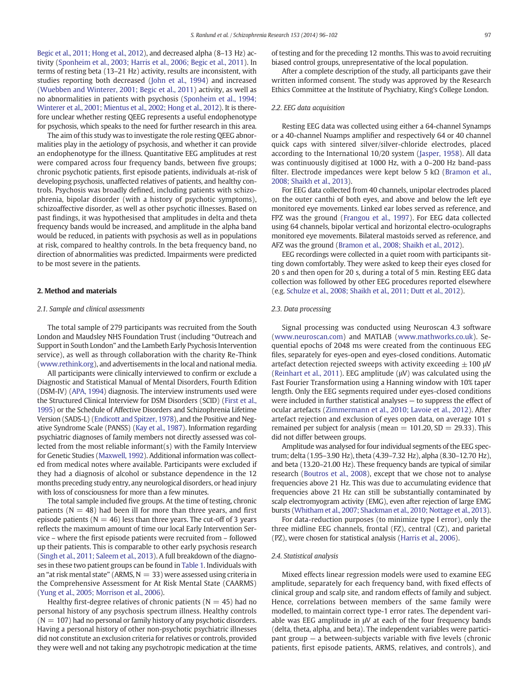[Begic et al., 2011; Hong et al., 2012](#page-6-0)), and decreased alpha (8–13 Hz) activity [\(Sponheim et al., 2003; Harris et al., 2006; Begic et al., 2011\)](#page-6-0). In terms of resting beta (13–21 Hz) activity, results are inconsistent, with studies reporting both decreased (John et al., 1994) and increased [\(Wuebben and Winterer, 2001; Begic et al., 2011](#page-6-0)) activity, as well as no abnormalities in patients with psychosis [\(Sponheim et al., 1994;](#page-6-0) [Winterer et al., 2001; Mientus et al., 2002; Hong et al., 2012](#page-6-0)). It is therefore unclear whether resting QEEG represents a useful endophenotype for psychosis, which speaks to the need for further research in this area.

The aim of this study was to investigate the role resting QEEG abnormalities play in the aetiology of psychosis, and whether it can provide an endophenotype for the illness. Quantitative EEG amplitudes at rest were compared across four frequency bands, between five groups; chronic psychotic patients, first episode patients, individuals at-risk of developing psychosis, unaffected relatives of patients, and healthy controls. Psychosis was broadly defined, including patients with schizophrenia, bipolar disorder (with a history of psychotic symptoms), schizoaffective disorder, as well as other psychotic illnesses. Based on past findings, it was hypothesised that amplitudes in delta and theta frequency bands would be increased, and amplitude in the alpha band would be reduced, in patients with psychosis as well as in populations at risk, compared to healthy controls. In the beta frequency band, no direction of abnormalities was predicted. Impairments were predicted to be most severe in the patients.

# 2. Method and materials

# 2.1. Sample and clinical assessments

The total sample of 279 participants was recruited from the South London and Maudsley NHS Foundation Trust (including "Outreach and Support in South London" and the Lambeth Early Psychosis Intervention service), as well as through collaboration with the charity Re-Think [\(www.rethink.org](http://www.rethink.org))), and advertisements in the local and national media.

All participants were clinically interviewed to confirm or exclude a Diagnostic and Statistical Manual of Mental Disorders, Fourth Edition (DSM-IV) (APA, 1994) diagnosis. The interview instruments used were the Structured Clinical Interview for DSM Disorders (SCID) (First et al., 1995) or the Schedule of Affective Disorders and Schizophrenia Lifetime Version (SADS-L) (Endicott and Spitzer, 1978), and the Positive and Negative Syndrome Scale (PANSS) (Kay et al., 1987). Information regarding psychiatric diagnoses of family members not directly assessed was collected from the most reliable informant(s) with the Family Interview for Genetic Studies (Maxwell, 1992). Additional information was collected from medical notes where available. Participants were excluded if they had a diagnosis of alcohol or substance dependence in the 12 months preceding study entry, any neurological disorders, or head injury with loss of consciousness for more than a few minutes.

The total sample included five groups. At the time of testing, chronic patients ( $N = 48$ ) had been ill for more than three years, and first episode patients ( $N = 46$ ) less than three years. The cut-off of 3 years reflects the maximum amount of time our local Early Intervention Service – where the first episode patients were recruited from – followed up their patients. This is comparable to other early psychosis research [\(Singh et al., 2011; Saleem et al., 2013](#page-6-0)). A full breakdown of the diagnoses in these two patient groups can be found in Table 1. Individuals with an "at risk mental state" (ARMS,  $N = 33$ ) were assessed using criteria in the Comprehensive Assessment for At Risk Mental State (CAARMS) [\(Yung et al., 2005; Morrison et al., 2006](#page-6-0)).

Healthy first-degree relatives of chronic patients ( $N = 45$ ) had no personal history of any psychosis spectrum illness. Healthy controls  $(N = 107)$  had no personal or family history of any psychotic disorders. Having a personal history of other non-psychotic psychiatric illnesses did not constitute an exclusion criteria for relatives or controls, provided they were well and not taking any psychotropic medication at the time of testing and for the preceding 12 months. This was to avoid recruiting biased control groups, unrepresentative of the local population.

After a complete description of the study, all participants gave their written informed consent. The study was approved by the Research Ethics Committee at the Institute of Psychiatry, King's College London.

# 2.2. EEG data acquisition

Resting EEG data was collected using either a 64-channel Synamps or a 40-channel Nuamps amplifier and respectively 64 or 40 channel quick caps with sintered silver/silver-chloride electrodes, placed according to the International 10/20 system (Jasper, 1958). All data was continuously digitised at 1000 Hz, with a 0–200 Hz band-pass filter. Electrode impedances were kept below 5 k $\Omega$  [\(Bramon et al.,](#page-5-0) [2008; Shaikh et al., 2013\)](#page-5-0).

For EEG data collected from 40 channels, unipolar electrodes placed on the outer canthi of both eyes, and above and below the left eye monitored eye movements. Linked ear lobes served as reference, and FPZ was the ground (Frangou et al., 1997). For EEG data collected using 64 channels, bipolar vertical and horizontal electro-oculographs monitored eye movements. Bilateral mastoids served as reference, and AFZ was the ground [\(Bramon et al., 2008; Shaikh et al., 2012](#page-5-0)).

EEG recordings were collected in a quiet room with participants sitting down comfortably. They were asked to keep their eyes closed for 20 s and then open for 20 s, during a total of 5 min. Resting EEG data collection was followed by other EEG procedures reported elsewhere (e.g. [Schulze et al., 2008; Shaikh et al., 2011; Dutt et al., 2012](#page-6-0)).

# 2.3. Data processing

Signal processing was conducted using Neuroscan 4.3 software [\(www.neuroscan.com](http://www.neuroscan.com))) and MATLAB [\(www.mathworks.co.uk\)](http://www.mathworks.co.uk)). Sequential epochs of 2048 ms were created from the continuous EEG files, separately for eyes-open and eyes-closed conditions. Automatic artefact detection rejected sweeps with activity exceeding  $\pm 100$   $\mu$ V (Reinhart et al., 2011). EEG amplitude (μV) was calculated using the Fast Fourier Transformation using a Hanning window with 10% taper length. Only the EEG segments required under eyes-closed conditions were included in further statistical analyses — to suppress the effect of ocular artefacts ([Zimmermann et al., 2010; Lavoie et al., 2012\)](#page-6-0). After artefact rejection and exclusion of eyes open data, on average 101 s remained per subject for analysis (mean  $= 101.20$ , SD  $= 29.33$ ). This did not differ between groups.

Amplitude was analysed for four individual segments of the EEG spectrum; delta (1.95–3.90 Hz), theta (4.39–7.32 Hz), alpha (8.30–12.70 Hz), and beta (13.20–21.00 Hz). These frequency bands are typical of similar research (Boutros et al., 2008), except that we chose not to analyse frequencies above 21 Hz. This was due to accumulating evidence that frequencies above 21 Hz can still be substantially contaminated by scalp electromyogram activity (EMG), even after rejection of large EMG bursts ([Whitham et al., 2007; Shackman et al., 2010; Nottage et al., 2013](#page-6-0)).

For data-reduction purposes (to minimize type I error), only the three midline EEG channels, frontal (FZ), central (CZ), and parietal (PZ), were chosen for statistical analysis (Harris et al., 2006).

#### 2.4. Statistical analysis

Mixed effects linear regression models were used to examine EEG amplitude, separately for each frequency band, with fixed effects of clinical group and scalp site, and random effects of family and subject. Hence, correlations between members of the same family were modelled, to maintain correct type-1 error rates. The dependent variable was EEG amplitude in μV at each of the four frequency bands (delta, theta, alpha, and beta). The independent variables were participant group — a between-subjects variable with five levels (chronic patients, first episode patients, ARMS, relatives, and controls), and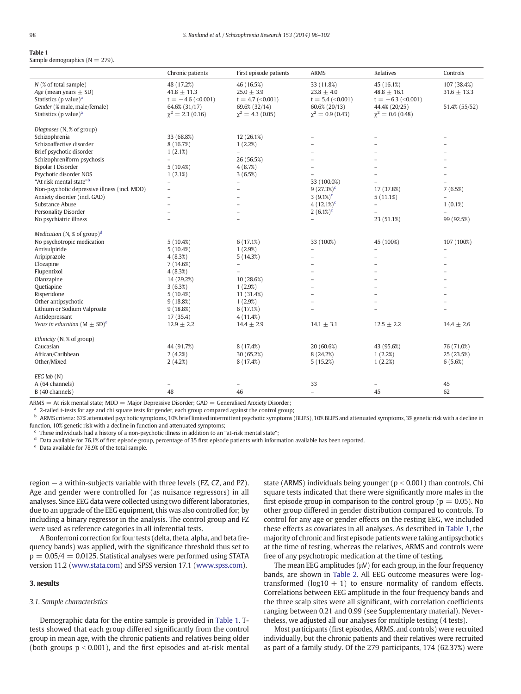# Table 1

Sample demographics ( $N = 279$ ).

|                                                | Chronic patients          | First episode patients   | <b>ARMS</b>           | Relatives            | Controls        |
|------------------------------------------------|---------------------------|--------------------------|-----------------------|----------------------|-----------------|
| $N$ (% of total sample)                        | 48 (17.2%)                | 46 (16.5%)               | 33 (11.8%)            | 45 (16.1%)           | 107 (38.4%)     |
| Age (mean years $\pm$ SD)                      | $41.8 \pm 11.3$           | $25.0 \pm 3.9$           | $23.8 \pm 4.0$        | $48.8 \pm 16.1$      | $31.6 \pm 13.3$ |
| Statistics ( $p$ value) <sup>a</sup>           | $t = -4.6 \, (\le 0.001)$ | $t = 4.7$ (<0.001)       | $t = 5.4$ (<0.001)    | $t = -6.3$ (<0.001)  |                 |
| Gender (% male, male/female)                   | 64.6% (31/17)             | 69.6% (32/14)            | 60.6% (20/13)         | 44.4% (20/25)        | 51.4% (55/52)   |
| Statistics (p value) <sup>a</sup>              | $\chi^2 = 2.3(0.16)$      | $\chi^2 = 4.3(0.05)$     | $\chi^2 = 0.9$ (0.43) | $\chi^2 = 0.6(0.48)$ |                 |
| Diagnoses (N, % of group)                      |                           |                          |                       |                      |                 |
| Schizophrenia                                  | 33 (68.8%)                | 12 (26.1%)               |                       |                      |                 |
| Schizoaffective disorder                       | 8 (16.7%)                 | 1(2.2%)                  |                       |                      |                 |
| Brief psychotic disorder                       | 1(2.1%)                   | $\equiv$                 |                       |                      |                 |
| Schizophreniform psychosis                     | $\overline{\phantom{a}}$  | 26 (56.5%)               |                       |                      |                 |
| <b>Bipolar I Disorder</b>                      | 5(10.4%)                  | 4(8.7%)                  |                       |                      |                 |
| Psychotic disorder NOS                         | 1(2.1%)                   | 3(6.5%)                  |                       |                      |                 |
| "At risk mental state" <sup>b</sup>            | $\overline{\phantom{a}}$  | $\overline{\phantom{a}}$ | 33 (100.0%)           |                      |                 |
| Non-psychotic depressive illness (incl. MDD)   | $\overline{a}$            | $\overline{a}$           | $9(27.3%)^c$          | 17 (37.8%)           | 7(6.5%)         |
| Anxiety disorder (incl. GAD)                   | $\equiv$                  | $\overline{a}$           | 3 $(9.1\%)^c$         | 5(11.1%)             | $\overline{a}$  |
| Substance Abuse                                |                           |                          | 4 $(12.1\%)^c$        | $\overline{a}$       | 1(0.1%)         |
| Personality Disorder                           |                           | $\qquad \qquad -$        | $2(6.1\%)^c$          |                      | $\overline{a}$  |
| No psychiatric illness                         |                           | $\overline{\phantom{0}}$ | $\overline{a}$        | 23 (51.1%)           | 99 (92.5%)      |
| <i>Medication</i> (N, % of group) <sup>d</sup> |                           |                          |                       |                      |                 |
| No psychotropic medication                     | 5(10.4%)                  | 6(17.1%)                 | 33 (100%)             | 45 (100%)            | 107 (100%)      |
| Amisulpiride                                   | $5(10.4\%)$               | 1(2.9%)                  |                       |                      |                 |
| Aripiprazole                                   | 4(8.3%)                   | 5(14.3%)                 |                       |                      |                 |
| Clozapine                                      | 7(14.6%)                  | $\overline{\phantom{a}}$ |                       |                      |                 |
| Flupentixol                                    | 4(8.3%)                   | $\overline{\phantom{a}}$ |                       |                      |                 |
| Olanzapine                                     | 14 (29.2%)                | 10 (28.6%)               |                       |                      |                 |
| Quetiapine                                     | 3(6.3%)                   | 1(2.9%)                  |                       |                      |                 |
| Risperidone                                    | $5(10.4\%)$               | 11 (31.4%)               |                       |                      |                 |
| Other antipsychotic                            | 9(18.8%)                  | 1(2.9%)                  |                       |                      |                 |
| Lithium or Sodium Valproate                    | 9(18.8%)                  | 6(17.1%)                 |                       |                      |                 |
| Antidepressant                                 | 17 (35.4)                 | 4(11.4%)                 |                       |                      |                 |
| Years in education $(M \pm SD)^e$              | $12.9 \pm 2.2$            | $14.4 \pm 2.9$           | $14.1 \pm 3.1$        | $12.5 \pm 2.2$       | $14.4 \pm 2.6$  |
| Ethnicity (N, % of group)                      |                           |                          |                       |                      |                 |
| Caucasian                                      | 44 (91.7%)                | 8 (17.4%)                | 20 (60.6%)            | 43 (95.6%)           | 76 (71.0%)      |
| African/Caribbean                              | 2(4.2%)                   | 30 (65.2%)               | 8 (24.2%)             | 1(2.2%)              | 25 (23.5%)      |
| Other/Mixed                                    | 2(4.2%)                   | 8 (17.4%)                | 5(15.2%)              | 1(2.2%)              | 6(5.6%)         |
| $EEG$ lab $(N)$                                |                           |                          |                       |                      |                 |
| A (64 channels)                                |                           |                          | 33                    |                      | 45              |
| B (40 channels)                                | 48                        | 46                       | $\frac{1}{2}$         | 45                   | 62              |
|                                                |                           |                          |                       |                      |                 |

 $ARMS = At$  risk mental state:  $MDD =$  Major Depressive Disorder:  $GAD =$  Generalised Anxiety Disorder:

<sup>a</sup> 2-tailed t-tests for age and chi square tests for gender, each group compared against the control group;

b ARMS criteria: 67% attenuated psychotic symptoms, 10% brief limited intermittent psychotic symptoms (BLIPS), 10% BLIPS and attenuated symptoms, 3% genetic risk with a decline in function, 10% genetic risk with a decline in function and attenuated symptoms;

 $c$  These individuals had a history of a non-psychotic illness in addition to an "at-risk mental state";

<sup>d</sup> Data available for 76.1% of first episode group, percentage of 35 first episode patients with information available has been reported.

<sup>e</sup> Data available for 78.9% of the total sample.

region — a within-subjects variable with three levels (FZ, CZ, and PZ). Age and gender were controlled for (as nuisance regressors) in all analyses. Since EEG data were collected using two different laboratories, due to an upgrade of the EEG equipment, this was also controlled for; by including a binary regressor in the analysis. The control group and FZ were used as reference categories in all inferential tests.

A Bonferroni correction for four tests (delta, theta, alpha, and beta frequency bands) was applied, with the significance threshold thus set to  $p = 0.05/4 = 0.0125$ . Statistical analyses were performed using STATA version 11.2 [\(www.stata.com\)](http://www.stata.com)) and SPSS version 17.1 [\(www.spss.com](http://www.spss.com))).

# 3. Results

# 3.1. Sample characteristics

Demographic data for the entire sample is provided in Table 1. Ttests showed that each group differed significantly from the control group in mean age, with the chronic patients and relatives being older (both groups  $p < 0.001$ ), and the first episodes and at-risk mental state (ARMS) individuals being younger ( $p < 0.001$ ) than controls. Chi square tests indicated that there were significantly more males in the first episode group in comparison to the control group ( $p = 0.05$ ). No other group differed in gender distribution compared to controls. To control for any age or gender effects on the resting EEG, we included these effects as covariates in all analyses. As described in Table 1, the majority of chronic and first episode patients were taking antipsychotics at the time of testing, whereas the relatives, ARMS and controls were free of any psychotropic medication at the time of testing.

The mean EEG amplitudes  $(\mu V)$  for each group, in the four frequency bands, are shown in Table 2. All EEG outcome measures were logtransformed ( $log10 + 1$ ) to ensure normality of random effects. Correlations between EEG amplitude in the four frequency bands and the three scalp sites were all significant, with correlation coefficients ranging between 0.21 and 0.99 (see Supplementary material). Nevertheless, we adjusted all our analyses for multiple testing (4 tests).

Most participants (first episodes, ARMS, and controls) were recruited individually, but the chronic patients and their relatives were recruited as part of a family study. Of the 279 participants, 174 (62.37%) were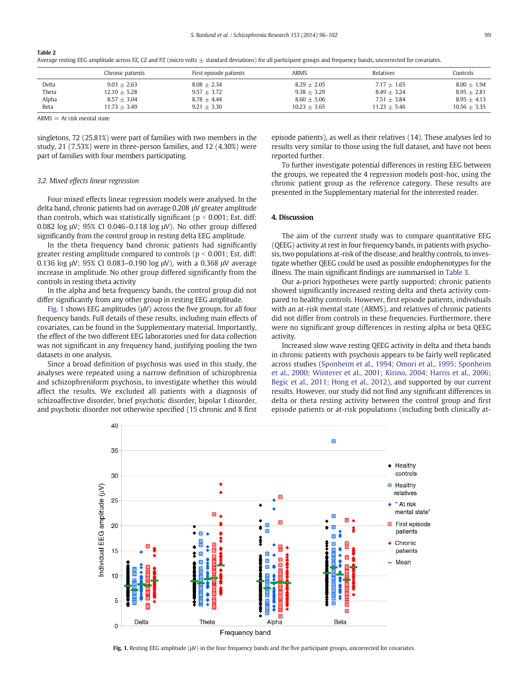Average resting EEG amplitude across FZ, CZ and PZ (micro volts  $\pm$  standard deviations) for all participant groups and frequency bands, uncorrected for covariates.

|       | Chronic patients | First episode patients | ARMS           | Relatives      | Controls       |
|-------|------------------|------------------------|----------------|----------------|----------------|
| Delta | $9.03 + 2.63$    | $8.08 + 2.34$          | $8.29 + 2.05$  | $7.17 + 1.65$  | $8.00 + 1.94$  |
| Theta | $12.10 + 5.28$   | $9.57 + 3.72$          | $9.38 + 3.29$  | $8.49 + 3.24$  | $8.95 + 2.81$  |
| Alpha | $8.57 + 3.04$    | $8.78 + 4.44$          | $8.60 + 5.06$  | $7.51 + 3.84$  | $8.95 + 4.13$  |
| Beta  | $11.73 + 3.49$   | $9.21 + 3.30$          | $10.23 + 3.65$ | $11.23 + 5.46$ | $10.56 + 3.35$ |

 $ARMS = At$  risk mental state

singletons, 72 (25.81%) were part of families with two members in the study, 21 (7.53%) were in three-person families, and 12 (4.30%) were part of families with four members participating.

# 3.2. Mixed effects linear regression

Four mixed effects linear regression models were analysed. In the delta band, chronic patients had on average 0.208 μV greater amplitude than controls, which was statistically significant ( $p < 0.001$ ; Est. diff: 0.082 log μV; 95% CI 0.046–0.118 log μV). No other group differed significantly from the control group in resting delta EEG amplitude.

In the theta frequency band chronic patients had significantly greater resting amplitude compared to controls ( $p < 0.001$ ; Est. diff: 0.136 log μV; 95% CI 0.083–0.190 log μV), with a 0.368 μV average increase in amplitude. No other group differed significantly from the controls in resting theta activity

In the alpha and beta frequency bands, the control group did not differ significantly from any other group in resting EEG amplitude.

Fig. 1 shows EEG amplitudes  $(\mu V)$  across the five groups, for all four frequency bands. Full details of these results, including main effects of covariates, can be found in the Supplementary material. Importantly, the effect of the two different EEG laboratories used for data collection was not significant in any frequency band, justifying pooling the two datasets in one analysis.

Since a broad definition of psychosis was used in this study, the analyses were repeated using a narrow definition of schizophrenia and schizophreniform psychosis, to investigate whether this would affect the results. We excluded all patients with a diagnosis of schizoaffective disorder, brief psychotic disorder, bipolar I disorder, and psychotic disorder not otherwise specified (15 chronic and 8 first

episode patients), as well as their relatives (14). These analyses led to results very similar to those using the full dataset, and have not been reported further.

To further investigate potential differences in resting EEG between the groups, we repeated the 4 regression models post-hoc, using the chronic patient group as the reference category. These results are presented in the Supplementary material for the interested reader.

# 4. Discussion

The aim of the current study was to compare quantitative EEG (QEEG) activity at rest in four frequency bands, in patients with psychosis, two populations at-risk of the disease, and healthy controls, to investigate whether QEEG could be used as possible endophenotypes for the illness. The main significant findings are summarised in Table 3.

Our a-priori hypotheses were partly supported; chronic patients showed significantly increased resting delta and theta activity compared to healthy controls. However, first episode patients, individuals with an at-risk mental state (ARMS), and relatives of chronic patients did not differ from controls in these frequencies. Furthermore, there were no significant group differences in resting alpha or beta QEEG activity.

Increased slow wave resting QEEG activity in delta and theta bands in chronic patients with psychosis appears to be fairly well replicated across studies ([Sponheim et al., 1994; Omori et al., 1995; Sponheim](#page-6-0) [et al., 2000; Winterer et al., 2001; Kirino, 2004; Harris et al., 2006;](#page-6-0) [Begic et al., 2011; Hong et al., 2012\)](#page-6-0), and supported by our current results. However, our study did not find any significant differences in delta or theta resting activity between the control group and first episode patients or at-risk populations (including both clinically at-



Fig. 1. Resting EEG amplitude  $(\mu V)$  in the four frequency bands and the five participant groups, uncorrected for covariates.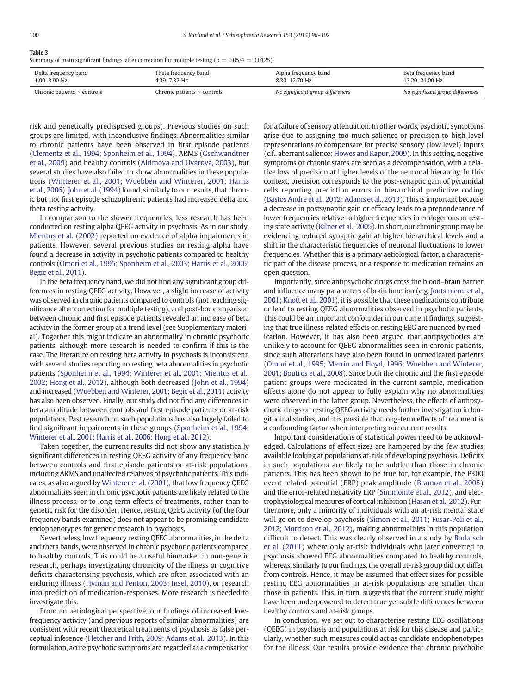#### Table 3

Summary of main significant findings, after correction for multiple testing ( $p = 0.05/4 = 0.0125$ ).

| Delta frequency band        | Theta frequency band          | Alpha frequency band             | Beta frequency band              |
|-----------------------------|-------------------------------|----------------------------------|----------------------------------|
| 1.90–3.90 Hz                | 4.39-7.32 Hz                  | 8.30-12.70 Hz                    | 13.20-21.00 Hz                   |
| Chronic patients > controls | Chronic patients $>$ controls | No significant group differences | No significant group differences |

risk and genetically predisposed groups). Previous studies on such groups are limited, with inconclusive findings. Abnormalities similar to chronic patients have been observed in first episode patients [\(Clementz et al., 1994; Sponheim et al., 1994\)](#page-5-0), ARMS (Gschwandtner et al., 2009) and healthy controls (Alfimova and Uvarova, 2003), but several studies have also failed to show abnormalities in these populations ([Winterer et al., 2001; Wuebben and Winterer, 2001; Harris](#page-6-0) [et al., 2006](#page-6-0)). John et al. (1994) found, similarly to our results, that chronic but not first episode schizophrenic patients had increased delta and theta resting activity.

In comparison to the slower frequencies, less research has been conducted on resting alpha QEEG activity in psychosis. As in our study, Mientus et al. (2002) reported no evidence of alpha impairments in patients. However, several previous studies on resting alpha have found a decrease in activity in psychotic patients compared to healthy controls [\(Omori et al., 1995; Sponheim et al., 2003; Harris et al., 2006;](#page-6-0) [Begic et al., 2011](#page-6-0)).

In the beta frequency band, we did not find any significant group differences in resting QEEG activity. However, a slight increase of activity was observed in chronic patients compared to controls (not reaching significance after correction for multiple testing), and post-hoc comparison between chronic and first episode patients revealed an increase of beta activity in the former group at a trend level (see Supplementary material). Together this might indicate an abnormality in chronic psychotic patients, although more research is needed to confirm if this is the case. The literature on resting beta activity in psychosis is inconsistent, with several studies reporting no resting beta abnormalities in psychotic patients ([Sponheim et al., 1994; Winterer et al., 2001; Mientus et al.,](#page-6-0) [2002; Hong et al., 2012\)](#page-6-0), although both decreased (John et al., 1994) and increased [\(Wuebben and Winterer, 2001; Begic et al., 2011\)](#page-6-0) activity has also been observed. Finally, our study did not find any differences in beta amplitude between controls and first episode patients or at-risk populations. Past research on such populations has also largely failed to find significant impairments in these groups ([Sponheim et al., 1994;](#page-6-0) [Winterer et al., 2001; Harris et al., 2006; Hong et al., 2012\)](#page-6-0).

Taken together, the current results did not show any statistically significant differences in resting QEEG activity of any frequency band between controls and first episode patients or at-risk populations, including ARMS and unaffected relatives of psychotic patients. This indicates, as also argued by Winterer et al. (2001), that low frequency QEEG abnormalities seen in chronic psychotic patients are likely related to the illness process, or to long-term effects of treatments, rather than to genetic risk for the disorder. Hence, resting QEEG activity (of the four frequency bands examined) does not appear to be promising candidate endophenotypes for genetic research in psychosis.

Nevertheless, low frequency resting QEEG abnormalities, in the delta and theta bands, were observed in chronic psychotic patients compared to healthy controls. This could be a useful biomarker in non-genetic research, perhaps investigating chronicity of the illness or cognitive deficits characterising psychosis, which are often associated with an enduring illness [\(Hyman and Fenton, 2003; Insel, 2010\)](#page-5-0), or research into prediction of medication-responses. More research is needed to investigate this.

From an aetiological perspective, our findings of increased lowfrequency activity (and previous reports of similar abnormalities) are consistent with recent theoretical treatments of psychosis as false perceptual inference ([Fletcher and Frith, 2009; Adams et al., 2013](#page-5-0)). In this formulation, acute psychotic symptoms are regarded as a compensation for a failure of sensory attenuation. In other words, psychotic symptoms arise due to assigning too much salience or precision to high level representations to compensate for precise sensory (low level) inputs (c.f., aberrant salience; Howes and Kapur, 2009). In this setting, negative symptoms or chronic states are seen as a decompensation, with a relative loss of precision at higher levels of the neuronal hierarchy. In this context, precision corresponds to the post-synaptic gain of pyramidal cells reporting prediction errors in hierarchical predictive coding [\(Bastos Andre et al., 2012; Adams et al., 2013](#page-5-0)). This is important because a decrease in postsynaptic gain or efficacy leads to a preponderance of lower frequencies relative to higher frequencies in endogenous or resting state activity (Kilner et al., 2005). In short, our chronic group may be evidencing reduced synaptic gain at higher hierarchical levels and a shift in the characteristic frequencies of neuronal fluctuations to lower frequencies. Whether this is a primary aetiological factor, a characteristic part of the disease process, or a response to medication remains an open question.

Importantly, since antipsychotic drugs cross the blood–brain barrier and influence many parameters of brain function (e.g. [Joutsiniemi et al.,](#page-5-0) [2001; Knott et al., 2001](#page-5-0)), it is possible that these medications contribute or lead to resting QEEG abnormalities observed in psychotic patients. This could be an important confounder in our current findings, suggesting that true illness-related effects on resting EEG are nuanced by medication. However, it has also been argued that antipsychotics are unlikely to account for QEEG abnormalities seen in chronic patients, since such alterations have also been found in unmedicated patients [\(Omori et al., 1995; Merrin and Floyd, 1996; Wuebben and Winterer,](#page-6-0) [2001; Boutros et al., 2008\)](#page-6-0). Since both the chronic and the first episode patient groups were medicated in the current sample, medication effects alone do not appear to fully explain why no abnormalities were observed in the latter group. Nevertheless, the effects of antipsychotic drugs on resting QEEG activity needs further investigation in longitudinal studies, and it is possible that long-term effects of treatment is a confounding factor when interpreting our current results.

Important considerations of statistical power need to be acknowledged. Calculations of effect sizes are hampered by the few studies available looking at populations at-risk of developing psychosis. Deficits in such populations are likely to be subtler than those in chronic patients. This has been shown to be true for, for example, the P300 event related potential (ERP) peak amplitude (Bramon et al., 2005) and the error-related negativity ERP (Simmonite et al., 2012), and electrophysiological measures of cortical inhibition (Hasan et al., 2012). Furthermore, only a minority of individuals with an at-risk mental state will go on to develop psychosis [\(Simon et al., 2011; Fusar-Poli et al.,](#page-6-0) [2012; Morrison et al., 2012\)](#page-6-0), making abnormalities in this population difficult to detect. This was clearly observed in a study by Bodatsch et al. (2011) where only at-risk individuals who later converted to psychosis showed EEG abnormalities compared to healthy controls, whereas, similarly to our findings, the overall at-risk group did not differ from controls. Hence, it may be assumed that effect sizes for possible resting EEG abnormalities in at-risk populations are smaller than those in patients. This, in turn, suggests that the current study might have been underpowered to detect true yet subtle differences between healthy controls and at-risk groups.

In conclusion, we set out to characterise resting EEG oscillations (QEEG) in psychosis and populations at risk for this disease and particularly, whether such measures could act as candidate endophenotypes for the illness. Our results provide evidence that chronic psychotic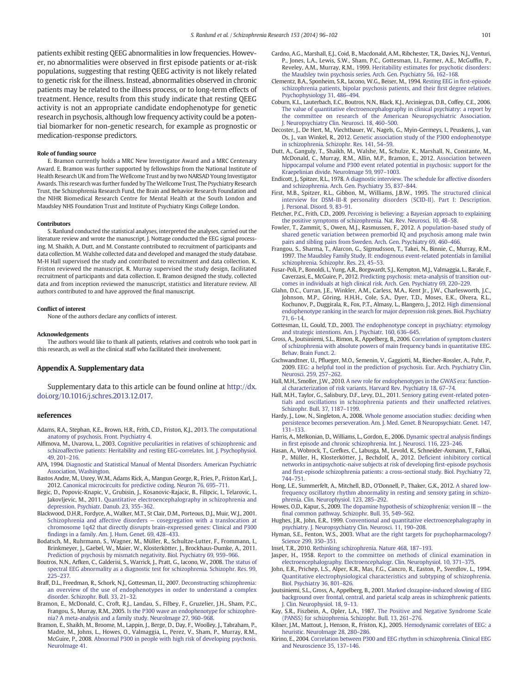<span id="page-5-0"></span>patients exhibit resting QEEG abnormalities in low frequencies. However, no abnormalities were observed in first episode patients or at-risk populations, suggesting that resting QEEG activity is not likely related to genetic risk for the illness. Instead, abnormalities observed in chronic patients may be related to the illness process, or to long-term effects of treatment. Hence, results from this study indicate that resting QEEG activity is not an appropriate candidate endophenotype for genetic research in psychosis, although low frequency activity could be a potential biomarker for non-genetic research, for example as prognostic or medication-response predictors.

#### Role of funding source

E. Bramon currently holds a MRC New Investigator Award and a MRC Centenary Award. E. Bramon was further supported by fellowships from the National Institute of Health Research UK and from The Wellcome Trust and by two NARSAD Young Investigator Awards. This research was further funded by TheWellcome Trust, The Psychiatry Research Trust, the Schizophrenia Research Fund, the Brain and Behavior Research Foundation and the NIHR Biomedical Research Centre for Mental Health at the South London and Maudsley NHS Foundation Trust and Institute of Psychiatry Kings College London.

#### Contributors

S. Ranlund conducted the statistical analyses, interpreted the analyses, carried out the literature review and wrote the manuscript. J. Nottage conducted the EEG signal processing. M. Shaikh, A. Dutt, and M. Constante contributed to recruitment of participants and data collection. M. Walshe collected data and developed and managed the study database. M-H Hall supervised the study and contributed to recruitment and data collection. K. Friston reviewed the manuscript. R. Murray supervised the study design, facilitated recruitment of participants and data collection. E. Bramon designed the study, collected data and from inception reviewed the manuscript, statistics and literature review. All authors contributed to and have approved the final manuscript.

#### Conflict of interest

None of the authors declare any conflicts of interest.

#### Acknowledgements

The authors would like to thank all patients, relatives and controls who took part in this research, as well as the clinical staff who facilitated their involvement.

## Appendix A. Supplementary data

Supplementary data to this article can be found online at [http://dx.](http://dx.doi.org/10.1016/j.schres.2013.12.017) [doi.org/10.1016/j.schres.2013.12.017.](http://dx.doi.org/10.1016/j.schres.2013.12.017)

#### References

- Adams, R.A., Stephan, K.E., Brown, H.R., Frith, C.D., Friston, K.J., 2013. [The computational](http://refhub.elsevier.com/S0920-9964(13)00695-6/rf0375) [anatomy of psychosis. Front. Psychiatry 4.](http://refhub.elsevier.com/S0920-9964(13)00695-6/rf0375)
- Alfimova, M., Uvarova, L., 2003. [Cognitive peculiarities in relatives of schizophrenic and](http://refhub.elsevier.com/S0920-9964(13)00695-6/rf0005) [schizoaffective patients: Heritability and resting EEG-correlates. Int. J. Psychophysiol.](http://refhub.elsevier.com/S0920-9964(13)00695-6/rf0005) [49, 201](http://refhub.elsevier.com/S0920-9964(13)00695-6/rf0005)–216.
- APA, 1994. [Diagnostic and Statistical Manual of Mental Disorders. American Psychiatric](http://refhub.elsevier.com/S0920-9964(13)00695-6/rf0010) [Association, Washington](http://refhub.elsevier.com/S0920-9964(13)00695-6/rf0010).
- Bastos Andre, M., Usrey, W.M., Adams Rick, A., Mangun George, R., Fries, P., Friston Karl, J., 2012. [Canonical microcircuits for predictive coding. Neuron 76, 695](http://refhub.elsevier.com/S0920-9964(13)00695-6/rf0015)–711.
- Begic, D., Popovic-Knapic, V., Grubisin, J., Kosanovic-Rajacic, B., Filipcic, I., Telarovic, I., Jakovljevic, M., 2011. [Quantitative electroencephalography in schizophrenia and](http://refhub.elsevier.com/S0920-9964(13)00695-6/rf0020) [depression. Psychiatr. Danub. 23, 355](http://refhub.elsevier.com/S0920-9964(13)00695-6/rf0020)–362.
- Blackwood, D.H.R., Fordyce, A., Walker, M.T., St Clair, D.M., Porteous, D.J., Muir, W.J., 2001. [Schizophrenia and affective disorders](http://refhub.elsevier.com/S0920-9964(13)00695-6/rf0025) — cosegregation with a translocation at [chromosome 1q42 that directly disrupts brain-expressed genes: Clinical and P300](http://refhub.elsevier.com/S0920-9964(13)00695-6/rf0025) fi[ndings in a family. Am. J. Hum. Genet. 69, 428](http://refhub.elsevier.com/S0920-9964(13)00695-6/rf0025)–433.
- Bodatsch, M., Ruhrmann, S., Wagner, M., Müller, R., Schultze-Lutter, F., Frommann, I., Brinkmeyer, J., Gaebel, W., Maier, W., Klosterkötter, J., Brockhaus-Dumke, A., 2011. [Prediction of psychosis by mismatch negativity. Biol. Psychiatry 69, 959](http://refhub.elsevier.com/S0920-9964(13)00695-6/rf0030)–966.
- Boutros, N.N., Arfken, C., Galderisi, S., Warrick, J., Pratt, G., Iacono, W., 2008. [The status of](http://refhub.elsevier.com/S0920-9964(13)00695-6/rf0035) [spectral EEG abnormality as a diagnostic test for schizophrenia. Schizophr. Res. 99,](http://refhub.elsevier.com/S0920-9964(13)00695-6/rf0035) [225](http://refhub.elsevier.com/S0920-9964(13)00695-6/rf0035)–237.
- Braff, D.L., Freedman, R., Schork, N.J., Gottesman, I.I., 2007. [Deconstructing schizophrenia:](http://refhub.elsevier.com/S0920-9964(13)00695-6/rf0040) [an overview of the use of endophenotypes in order to understand a complex](http://refhub.elsevier.com/S0920-9964(13)00695-6/rf0040) [disorder. Schizophr. Bull. 33, 21](http://refhub.elsevier.com/S0920-9964(13)00695-6/rf0040)–32.
- Bramon, E., McDonald, C., Croft, R.J., Landau, S., Filbey, F., Gruzelier, J.H., Sham, P.C., Frangou, S., Murray, R.M., 2005. [Is the P300 wave an endophenotype for schizophre](http://refhub.elsevier.com/S0920-9964(13)00695-6/rf0045)[nia? A meta-analysis and a family study. NeuroImage 27, 960](http://refhub.elsevier.com/S0920-9964(13)00695-6/rf0045)–968.
- Bramon, E., Shaikh, M., Broome, M., Lappin, J., Berge, D., Day, F., Woolley, J., Tabraham, P.,<br>Madre, M., Johns, L., Howes, O., Valmaggia, L., Perez, V., Sham, P., Murray, R.M., McGuire, P., 2008. [Abnormal P300 in people with high risk of developing psychosis.](http://refhub.elsevier.com/S0920-9964(13)00695-6/rf0380) [NeuroImage 41](http://refhub.elsevier.com/S0920-9964(13)00695-6/rf0380).
- Cardno, A.G., Marshall, E.J., Coid, B., Macdonald, A.M., Ribchester, T.R., Davies, N.J., Venturi, P., Jones, L.A., Lewis, S.W., Sham, P.C., Gottesman, I.I., Farmer, A.E., McGuffin, P., Reveley, A.M., Murray, R.M., 1999. [Heritability estimates for psychotic disorders:](http://refhub.elsevier.com/S0920-9964(13)00695-6/rf0050) [the Maudsley twin psychosis series. Arch. Gen. Psychiatry 56, 162](http://refhub.elsevier.com/S0920-9964(13)00695-6/rf0050)–168.
- Clementz, B.A., Sponheim, S.R., Iacono, W.G., Beiser, M., 1994. [Resting EEG in](http://refhub.elsevier.com/S0920-9964(13)00695-6/rf0055) first-episode [schizophrenia patients, bipolar psychosis patients, and their](http://refhub.elsevier.com/S0920-9964(13)00695-6/rf0055) first degree relatives. [Psychophysiology 31, 486](http://refhub.elsevier.com/S0920-9964(13)00695-6/rf0055)–494.
- Coburn, K.L., Lauterbach, E.C., Boutros, N.N., Black, K.J., Arciniegras, D.B., Coffey, C.E., 2006. [The value of quantitative electroencephalography in clinical psychiatry: a report by](http://refhub.elsevier.com/S0920-9964(13)00695-6/rf0060) [the committee on research of the American Neuropsychiatric Association.](http://refhub.elsevier.com/S0920-9964(13)00695-6/rf0060) [J. Neuropsychiatry Clin. Neurosci. 18, 460](http://refhub.elsevier.com/S0920-9964(13)00695-6/rf0060)–500.
- Decoster, J., De Hert, M., Viechtbauer, W., Nagels, G., Myin-Germeys, I., Peuskens, J., van Os, J., van Winkel, R., 2012. [Genetic association study of the P300 endophenotype](http://refhub.elsevier.com/S0920-9964(13)00695-6/rf0065) [in schizophrenia. Schizophr. Res. 141, 54](http://refhub.elsevier.com/S0920-9964(13)00695-6/rf0065)–59.
- Dutt, A., Ganguly, T., Shaikh, M., Walshe, M., Schulze, K., Marshall, N., Constante, M., McDonald, C., Murray, R.M., Allin, M.P., Bramon, E., 2012. [Association between](http://refhub.elsevier.com/S0920-9964(13)00695-6/rf0070) [hippocampal volume and P300 event related potential in psychosis: support for the](http://refhub.elsevier.com/S0920-9964(13)00695-6/rf0070) [Kraepelinian divide. NeuroImage 59, 997](http://refhub.elsevier.com/S0920-9964(13)00695-6/rf0070)–1003.
- Endicott, J., Spitzer, R.L., 1978. [A diagnostic interview. The schedule for affective disorders](http://refhub.elsevier.com/S0920-9964(13)00695-6/rf0385) [and schizophrenia. Arch. Gen. Psychiatry 35, 837](http://refhub.elsevier.com/S0920-9964(13)00695-6/rf0385)–844.
- First, M.B., Spitzer, R.L., Gibbon, M., Williams, J.B.W., 1995. [The structured clinical](http://refhub.elsevier.com/S0920-9964(13)00695-6/rf0390) [interview for DSM-III-R personality disorders \(SCID-II\). Part I: Description.](http://refhub.elsevier.com/S0920-9964(13)00695-6/rf0390) [J. Personal. Disord. 9, 83](http://refhub.elsevier.com/S0920-9964(13)00695-6/rf0390)–91.
- Fletcher, P.C., Frith, C.D., 2009. [Perceiving is believing: a Bayesian approach to explaining](http://refhub.elsevier.com/S0920-9964(13)00695-6/rf0075) [the positive symptoms of schizophrenia. Nat. Rev. Neurosci. 10, 48](http://refhub.elsevier.com/S0920-9964(13)00695-6/rf0075)–58.
- Fowler, T., Zammit, S., Owen, M.J., Rasmussen, F., 2012. [A population-based study of](http://refhub.elsevier.com/S0920-9964(13)00695-6/rf0080) [shared genetic variation between premorbid IQ and psychosis among male twin](http://refhub.elsevier.com/S0920-9964(13)00695-6/rf0080) [pairs and sibling pairs from Sweden. Arch. Gen. Psychiatry 69, 460](http://refhub.elsevier.com/S0920-9964(13)00695-6/rf0080)–466.
- Frangou, S., Sharma, T., Alarcon, G., Sigmudsson, T., Takei, N., Binnie, C., Murray, R.M., 1997. [The Maudsley Family Study, II: endogenous event-related potentials in familial](http://refhub.elsevier.com/S0920-9964(13)00695-6/rf0085) [schizophrenia. Schizophr. Res. 23, 45](http://refhub.elsevier.com/S0920-9964(13)00695-6/rf0085)–53.
- Fusar-Poli, P., Bonoldi, I., Yung, A.R., Borgwardt, S.J., Kempton, M.J., Valmaggia, L., Barale, F., Caverzasi, E., McGuire, P., 2012. [Predicting psychosis: meta-analysis of transition out](http://refhub.elsevier.com/S0920-9964(13)00695-6/rf0090)[comes in individuals at high clinical risk. Arch. Gen. Psychiatry 69, 220](http://refhub.elsevier.com/S0920-9964(13)00695-6/rf0090)–229.
- Glahn, D.C., Curran, J.E., Winkler, A.M., Carless, M.A., Kent Jr., J.W., Charlesworth, J.C., Johnson, M.P., Göring, H.H.H., Cole, S.A., Dyer, T.D., Moses, E.K., Olvera, R.L., Kochunov, P., Duggirala, R., Fox, P.T., Almasy, L., Blangero, J., 2012. [High dimensional](http://refhub.elsevier.com/S0920-9964(13)00695-6/rf0095) [endophenotype ranking in the search for major depression risk genes. Biol. Psychiatry](http://refhub.elsevier.com/S0920-9964(13)00695-6/rf0095) [71, 6](http://refhub.elsevier.com/S0920-9964(13)00695-6/rf0095)–14.
- Gottesman, I.I., Gould, T.D., 2003. [The endophenotype concept in psychiatry: etymology](http://refhub.elsevier.com/S0920-9964(13)00695-6/rf0100) [and strategic intentions. Am. J. Psychiatr. 160, 636](http://refhub.elsevier.com/S0920-9964(13)00695-6/rf0100)–645.
- Gross, A., Joutsiniemi, S.L., Rimon, R., Appelberg, B., 2006. [Correlation of symptom clusters](http://refhub.elsevier.com/S0920-9964(13)00695-6/rf0395) [of schizophrenia with absolute powers of main frequency bands in quantitative EEG.](http://refhub.elsevier.com/S0920-9964(13)00695-6/rf0395) [Behav. Brain Funct. 2](http://refhub.elsevier.com/S0920-9964(13)00695-6/rf0395).
- Gschwandtner, U., Pflueger, M.O., Semenin, V., Gaggiotti, M., Riecher-Rossler, A., Fuhr, P., 2009. [EEG: a helpful tool in the prediction of psychosis. Eur. Arch. Psychiatry Clin.](http://refhub.elsevier.com/S0920-9964(13)00695-6/rf0105) [Neurosci. 259, 257](http://refhub.elsevier.com/S0920-9964(13)00695-6/rf0105)–262.
- Hall, M.H., Smoller, J.W., 2010. [A new role for endophenotypes in the GWAS era: function](http://refhub.elsevier.com/S0920-9964(13)00695-6/rf0110)[al characterization of risk variants. Harvard Rev. Psychiatry 18, 67](http://refhub.elsevier.com/S0920-9964(13)00695-6/rf0110)–74.
- Hall, M.H., Taylor, G., Salisbury, D.F., Levy, D.L., 2011. [Sensory gating event-related poten](http://refhub.elsevier.com/S0920-9964(13)00695-6/rf0115)[tials and oscillations in schizophrenia patients and their unaffected relatives.](http://refhub.elsevier.com/S0920-9964(13)00695-6/rf0115) [Schizophr. Bull. 37, 1187](http://refhub.elsevier.com/S0920-9964(13)00695-6/rf0115)–1199.
- Hardy, J., Low, N., Singleton, A., 2008. [Whole genome association studies: deciding when](http://refhub.elsevier.com/S0920-9964(13)00695-6/rf0120) [persistence becomes perseveration. Am. J. Med. Genet. B Neuropsychiatr. Genet. 147,](http://refhub.elsevier.com/S0920-9964(13)00695-6/rf0120) [131](http://refhub.elsevier.com/S0920-9964(13)00695-6/rf0120)–133.
- Harris, A., Melkonian, D., Williams, L., Gordon, E., 2006. [Dynamic spectral analysis](http://refhub.elsevier.com/S0920-9964(13)00695-6/rf0125) findings in fi[rst episode and chronic schizophrenia. Int. J. Neurosci. 116, 223](http://refhub.elsevier.com/S0920-9964(13)00695-6/rf0125)–246.
- Hasan, A., Wobrock, T., Grefkes, C., Labusga, M., Levold, K., Schneider-Axmann, T., Falkai, P., Müller, H., Klosterkötter, J., Bechdolf, A., 2012. Defi[cient inhibitory cortical](http://refhub.elsevier.com/S0920-9964(13)00695-6/rf0130) [networks in antipsychotic-naive subjects at risk of developing](http://refhub.elsevier.com/S0920-9964(13)00695-6/rf0130) first-episode psychosis and fi[rst-episode schizophrenia patients: a cross-sectional study. Biol. Psychiatry 72,](http://refhub.elsevier.com/S0920-9964(13)00695-6/rf0130) [744](http://refhub.elsevier.com/S0920-9964(13)00695-6/rf0130)–751.
- Hong, L.E., Summerfelt, A., Mitchell, B.D., O'Donnell, P., Thaker, G.K., 2012. [A shared low](http://refhub.elsevier.com/S0920-9964(13)00695-6/rf0135)[frequency oscillatory rhythm abnormality in resting and sensory gating in schizo](http://refhub.elsevier.com/S0920-9964(13)00695-6/rf0135)[phrenia. Clin. Neurophysiol. 123, 285](http://refhub.elsevier.com/S0920-9964(13)00695-6/rf0135)–292.
- Howes, O.D., Kapur, S., 2009. [The dopamine hypothesis of schizophrenia: version III](http://refhub.elsevier.com/S0920-9964(13)00695-6/rf0140) the fi[nal common pathway. Schizophr. Bull. 35, 549](http://refhub.elsevier.com/S0920-9964(13)00695-6/rf0140)–562.
- Hughes, J.R., John, E.R., 1999. [Conventional and quantitative electroencephalography in](http://refhub.elsevier.com/S0920-9964(13)00695-6/rf0145) [psychiatry. J. Neuropsychiatry Clin. Neurosci. 11, 190](http://refhub.elsevier.com/S0920-9964(13)00695-6/rf0145)–208.
- Hyman, S.E., Fenton, W.S., 2003. [What are the right targets for psychopharmacology?](http://refhub.elsevier.com/S0920-9964(13)00695-6/rf0150) [Science 299, 350](http://refhub.elsevier.com/S0920-9964(13)00695-6/rf0150)–351.
- Insel, T.R., 2010. [Rethinking schizophrenia. Nature 468, 187](http://refhub.elsevier.com/S0920-9964(13)00695-6/rf0155)–193.
- Jasper, H., 1958. [Report to the committee on methods of clinical examination in](http://refhub.elsevier.com/S0920-9964(13)00695-6/rf0160) [electroencephalography. Electroencephalogr. Clin. Neurophysiol. 10, 371](http://refhub.elsevier.com/S0920-9964(13)00695-6/rf0160)–375.
- John, E.R., Prichep, L.S., Alper, K.R., Mas, F.G., Cancro, R., Easton, P., Sverdlov, L., 1994. [Quantitative electrophysiological characteristics and subtyping of schizophrenia.](http://refhub.elsevier.com/S0920-9964(13)00695-6/rf0165) [Biol. Psychiatry 36, 801](http://refhub.elsevier.com/S0920-9964(13)00695-6/rf0165)–826.
- Joutsiniemi, S.L., Gross, A., Appelberg, B., 2001. [Marked clozapine-induced slowing of EEG](http://refhub.elsevier.com/S0920-9964(13)00695-6/rf0170) [background over frontal, central, and parietal scalp areas in schizophrenic patients.](http://refhub.elsevier.com/S0920-9964(13)00695-6/rf0170) [J. Clin. Neurophysiol. 18, 9](http://refhub.elsevier.com/S0920-9964(13)00695-6/rf0170)–13.
- Kay, S.R., Fiszbein, A., Opler, L.A., 1987. [The Positive and Negative Syndrome Scale](http://refhub.elsevier.com/S0920-9964(13)00695-6/rf0175) [\(PANSS\) for schizophrenia. Schizophr. Bull. 13, 261](http://refhub.elsevier.com/S0920-9964(13)00695-6/rf0175)–276.
- Kilner, J.M., Mattout, J., Henson, R., Friston, K.J., 2005. [Hemodynamic correlates of EEG: a](http://refhub.elsevier.com/S0920-9964(13)00695-6/rf0180) [heuristic. NeuroImage 28, 280](http://refhub.elsevier.com/S0920-9964(13)00695-6/rf0180)–286.
- Kirino, E., 2004. [Correlation between P300 and EEG rhythm in schizophrenia. Clinical EEG](http://refhub.elsevier.com/S0920-9964(13)00695-6/rf0185) [and Neuroscience 35, 137](http://refhub.elsevier.com/S0920-9964(13)00695-6/rf0185)–146.